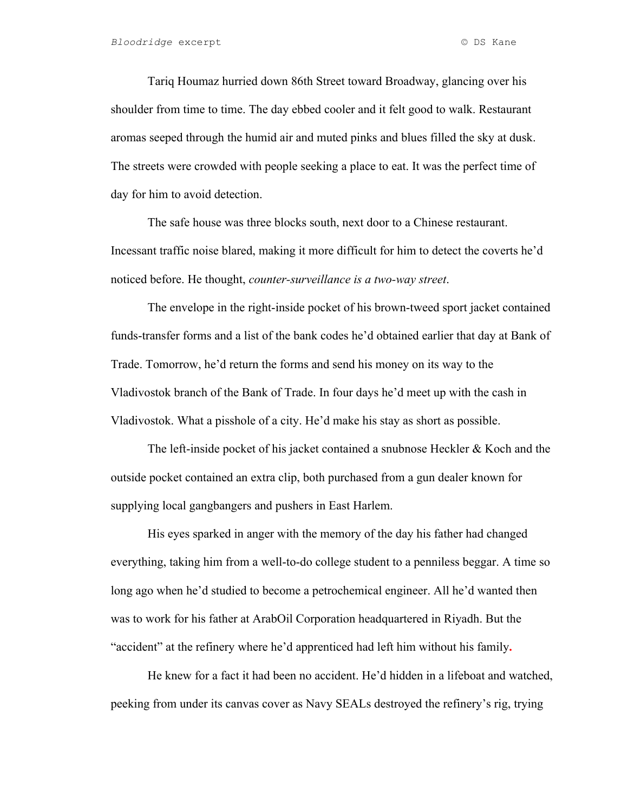Tariq Houmaz hurried down 86th Street toward Broadway, glancing over his shoulder from time to time. The day ebbed cooler and it felt good to walk. Restaurant aromas seeped through the humid air and muted pinks and blues filled the sky at dusk. The streets were crowded with people seeking a place to eat. It was the perfect time of day for him to avoid detection.

The safe house was three blocks south, next door to a Chinese restaurant. Incessant traffic noise blared, making it more difficult for him to detect the coverts he'd noticed before. He thought, *counter-surveillance is a two-way street*.

The envelope in the right-inside pocket of his brown-tweed sport jacket contained funds-transfer forms and a list of the bank codes he'd obtained earlier that day at Bank of Trade. Tomorrow, he'd return the forms and send his money on its way to the Vladivostok branch of the Bank of Trade. In four days he'd meet up with the cash in Vladivostok. What a pisshole of a city. He'd make his stay as short as possible.

The left-inside pocket of his jacket contained a snubnose Heckler  $\&$  Koch and the outside pocket contained an extra clip, both purchased from a gun dealer known for supplying local gangbangers and pushers in East Harlem.

His eyes sparked in anger with the memory of the day his father had changed everything, taking him from a well-to-do college student to a penniless beggar. A time so long ago when he'd studied to become a petrochemical engineer. All he'd wanted then was to work for his father at ArabOil Corporation headquartered in Riyadh. But the "accident" at the refinery where he'd apprenticed had left him without his family**.**

He knew for a fact it had been no accident. He'd hidden in a lifeboat and watched, peeking from under its canvas cover as Navy SEALs destroyed the refinery's rig, trying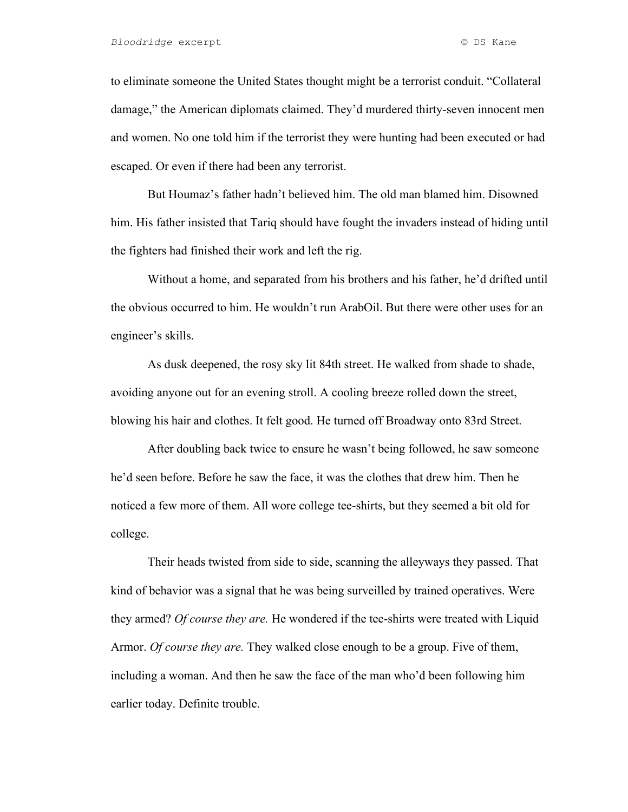to eliminate someone the United States thought might be a terrorist conduit. "Collateral damage," the American diplomats claimed. They'd murdered thirty-seven innocent men and women. No one told him if the terrorist they were hunting had been executed or had escaped. Or even if there had been any terrorist.

But Houmaz's father hadn't believed him. The old man blamed him. Disowned him. His father insisted that Tariq should have fought the invaders instead of hiding until the fighters had finished their work and left the rig.

Without a home, and separated from his brothers and his father, he'd drifted until the obvious occurred to him. He wouldn't run ArabOil. But there were other uses for an engineer's skills.

As dusk deepened, the rosy sky lit 84th street. He walked from shade to shade, avoiding anyone out for an evening stroll. A cooling breeze rolled down the street, blowing his hair and clothes. It felt good. He turned off Broadway onto 83rd Street.

After doubling back twice to ensure he wasn't being followed, he saw someone he'd seen before. Before he saw the face, it was the clothes that drew him. Then he noticed a few more of them. All wore college tee-shirts, but they seemed a bit old for college.

Their heads twisted from side to side, scanning the alleyways they passed. That kind of behavior was a signal that he was being surveilled by trained operatives. Were they armed? *Of course they are.* He wondered if the tee-shirts were treated with Liquid Armor. *Of course they are.* They walked close enough to be a group. Five of them, including a woman. And then he saw the face of the man who'd been following him earlier today. Definite trouble.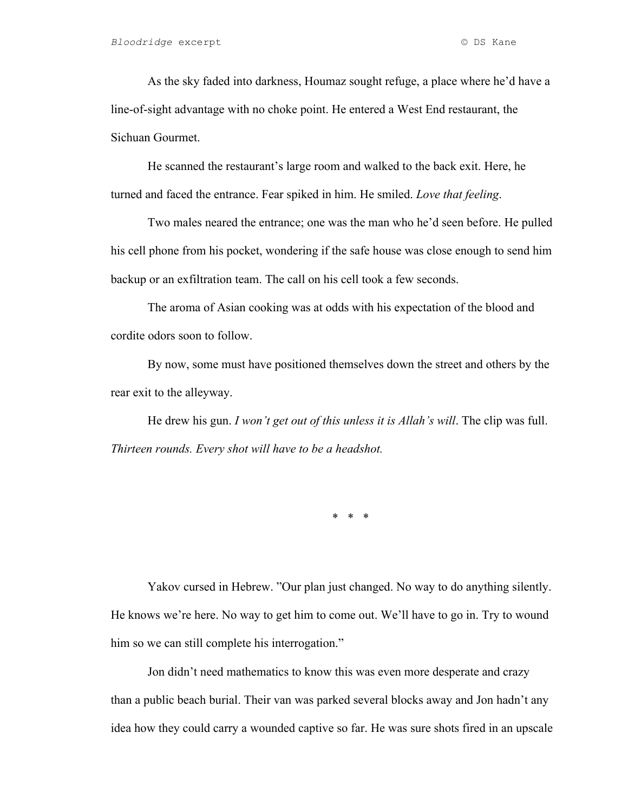As the sky faded into darkness, Houmaz sought refuge, a place where he'd have a line-of-sight advantage with no choke point. He entered a West End restaurant, the Sichuan Gourmet.

He scanned the restaurant's large room and walked to the back exit. Here, he turned and faced the entrance. Fear spiked in him. He smiled. *Love that feeling*.

Two males neared the entrance; one was the man who he'd seen before. He pulled his cell phone from his pocket, wondering if the safe house was close enough to send him backup or an exfiltration team. The call on his cell took a few seconds.

The aroma of Asian cooking was at odds with his expectation of the blood and cordite odors soon to follow.

By now, some must have positioned themselves down the street and others by the rear exit to the alleyway.

He drew his gun. *I won't get out of this unless it is Allah's will*. The clip was full. *Thirteen rounds. Every shot will have to be a headshot.*

\* \* \*

Yakov cursed in Hebrew. "Our plan just changed. No way to do anything silently. He knows we're here. No way to get him to come out. We'll have to go in. Try to wound him so we can still complete his interrogation."

Jon didn't need mathematics to know this was even more desperate and crazy than a public beach burial. Their van was parked several blocks away and Jon hadn't any idea how they could carry a wounded captive so far. He was sure shots fired in an upscale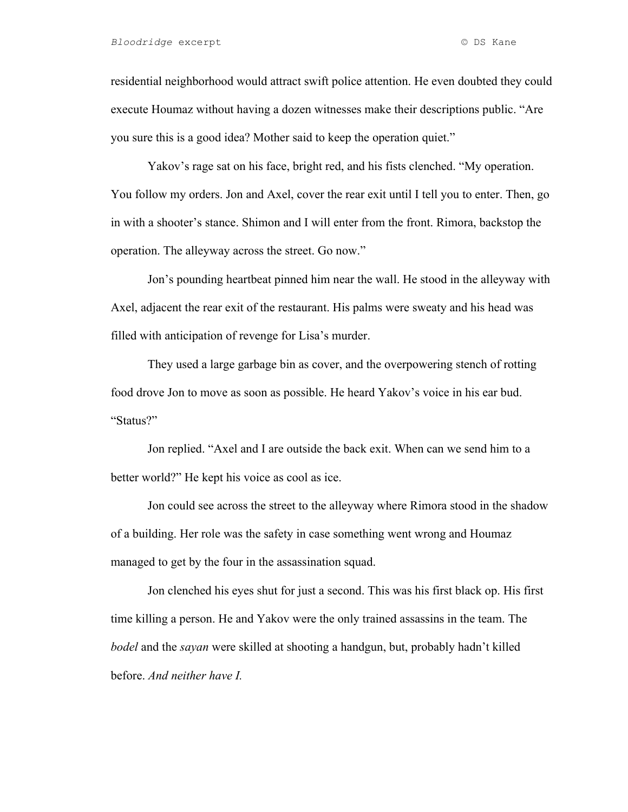residential neighborhood would attract swift police attention. He even doubted they could execute Houmaz without having a dozen witnesses make their descriptions public. "Are you sure this is a good idea? Mother said to keep the operation quiet."

Yakov's rage sat on his face, bright red, and his fists clenched. "My operation. You follow my orders. Jon and Axel, cover the rear exit until I tell you to enter. Then, go in with a shooter's stance. Shimon and I will enter from the front. Rimora, backstop the operation. The alleyway across the street. Go now."

Jon's pounding heartbeat pinned him near the wall. He stood in the alleyway with Axel, adjacent the rear exit of the restaurant. His palms were sweaty and his head was filled with anticipation of revenge for Lisa's murder.

They used a large garbage bin as cover, and the overpowering stench of rotting food drove Jon to move as soon as possible. He heard Yakov's voice in his ear bud. "Status?"

Jon replied. "Axel and I are outside the back exit. When can we send him to a better world?" He kept his voice as cool as ice.

Jon could see across the street to the alleyway where Rimora stood in the shadow of a building. Her role was the safety in case something went wrong and Houmaz managed to get by the four in the assassination squad.

Jon clenched his eyes shut for just a second. This was his first black op. His first time killing a person. He and Yakov were the only trained assassins in the team. The *bodel* and the *sayan* were skilled at shooting a handgun, but, probably hadn't killed before. *And neither have I.*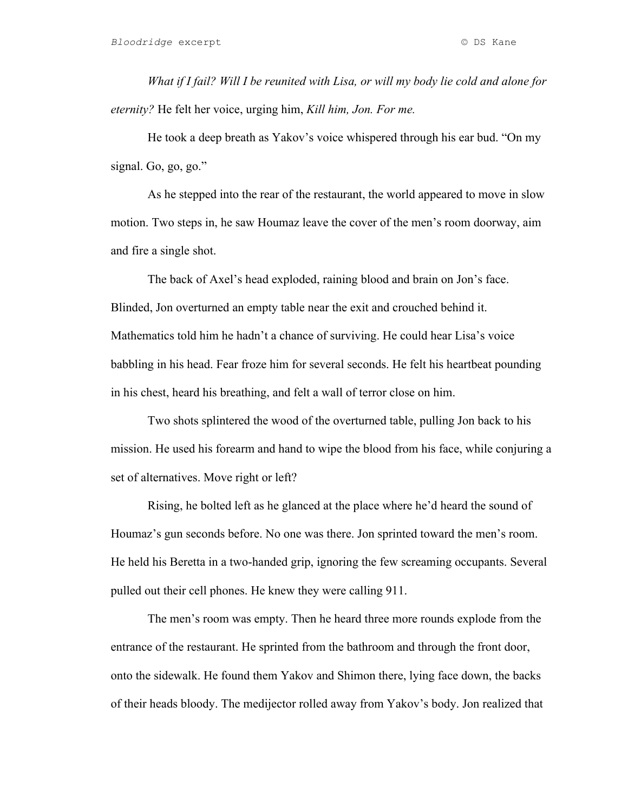*What if I fail? Will I be reunited with Lisa, or will my body lie cold and alone for eternity?* He felt her voice, urging him, *Kill him, Jon. For me.*

He took a deep breath as Yakov's voice whispered through his ear bud. "On my signal. Go, go, go."

As he stepped into the rear of the restaurant, the world appeared to move in slow motion. Two steps in, he saw Houmaz leave the cover of the men's room doorway, aim and fire a single shot.

The back of Axel's head exploded, raining blood and brain on Jon's face. Blinded, Jon overturned an empty table near the exit and crouched behind it. Mathematics told him he hadn't a chance of surviving. He could hear Lisa's voice babbling in his head. Fear froze him for several seconds. He felt his heartbeat pounding in his chest, heard his breathing, and felt a wall of terror close on him.

Two shots splintered the wood of the overturned table, pulling Jon back to his mission. He used his forearm and hand to wipe the blood from his face, while conjuring a set of alternatives. Move right or left?

Rising, he bolted left as he glanced at the place where he'd heard the sound of Houmaz's gun seconds before. No one was there. Jon sprinted toward the men's room. He held his Beretta in a two-handed grip, ignoring the few screaming occupants. Several pulled out their cell phones. He knew they were calling 911.

The men's room was empty. Then he heard three more rounds explode from the entrance of the restaurant. He sprinted from the bathroom and through the front door, onto the sidewalk. He found them Yakov and Shimon there, lying face down, the backs of their heads bloody. The medijector rolled away from Yakov's body. Jon realized that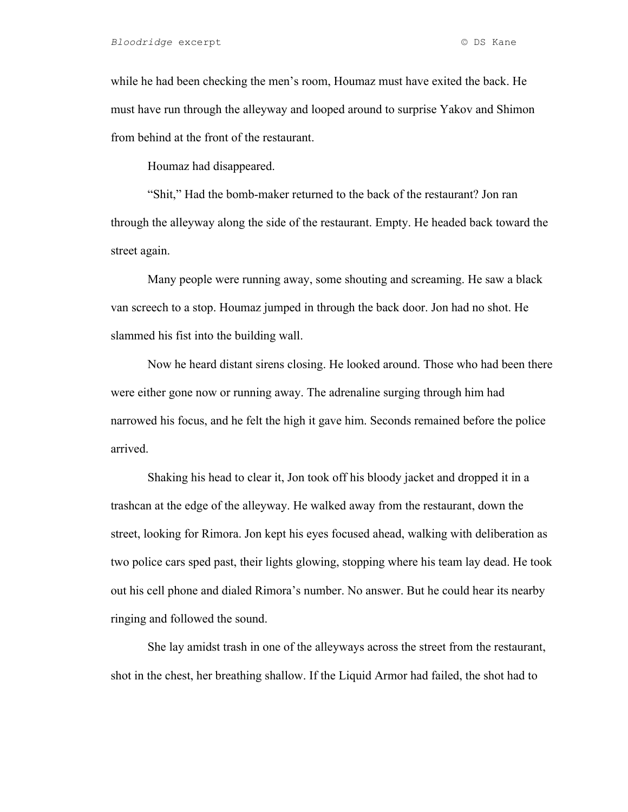while he had been checking the men's room, Houmaz must have exited the back. He must have run through the alleyway and looped around to surprise Yakov and Shimon from behind at the front of the restaurant.

Houmaz had disappeared.

"Shit," Had the bomb-maker returned to the back of the restaurant? Jon ran through the alleyway along the side of the restaurant. Empty. He headed back toward the street again.

Many people were running away, some shouting and screaming. He saw a black van screech to a stop. Houmaz jumped in through the back door. Jon had no shot. He slammed his fist into the building wall.

Now he heard distant sirens closing. He looked around. Those who had been there were either gone now or running away. The adrenaline surging through him had narrowed his focus, and he felt the high it gave him. Seconds remained before the police arrived.

Shaking his head to clear it, Jon took off his bloody jacket and dropped it in a trashcan at the edge of the alleyway. He walked away from the restaurant, down the street, looking for Rimora. Jon kept his eyes focused ahead, walking with deliberation as two police cars sped past, their lights glowing, stopping where his team lay dead. He took out his cell phone and dialed Rimora's number. No answer. But he could hear its nearby ringing and followed the sound.

She lay amidst trash in one of the alleyways across the street from the restaurant, shot in the chest, her breathing shallow. If the Liquid Armor had failed, the shot had to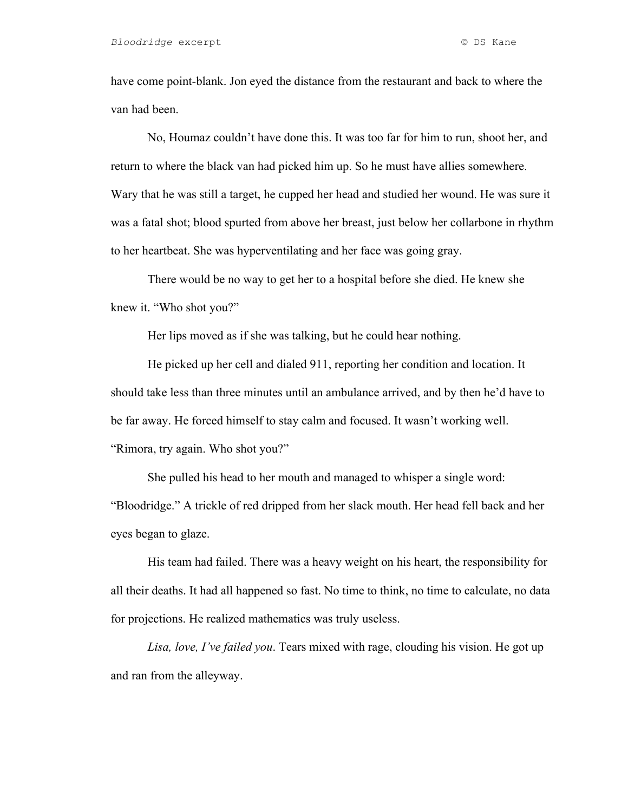have come point-blank. Jon eyed the distance from the restaurant and back to where the van had been.

No, Houmaz couldn't have done this. It was too far for him to run, shoot her, and return to where the black van had picked him up. So he must have allies somewhere. Wary that he was still a target, he cupped her head and studied her wound. He was sure it was a fatal shot; blood spurted from above her breast, just below her collarbone in rhythm to her heartbeat. She was hyperventilating and her face was going gray.

There would be no way to get her to a hospital before she died. He knew she knew it. "Who shot you?"

Her lips moved as if she was talking, but he could hear nothing.

He picked up her cell and dialed 911, reporting her condition and location. It should take less than three minutes until an ambulance arrived, and by then he'd have to be far away. He forced himself to stay calm and focused. It wasn't working well. "Rimora, try again. Who shot you?"

She pulled his head to her mouth and managed to whisper a single word: "Bloodridge." A trickle of red dripped from her slack mouth. Her head fell back and her eyes began to glaze.

His team had failed. There was a heavy weight on his heart, the responsibility for all their deaths. It had all happened so fast. No time to think, no time to calculate, no data for projections. He realized mathematics was truly useless.

*Lisa, love, I've failed you*. Tears mixed with rage, clouding his vision. He got up and ran from the alleyway.